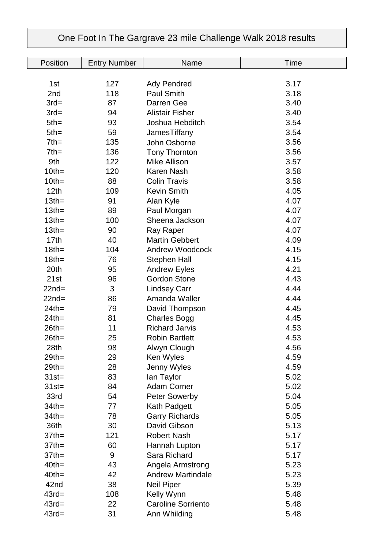## Position Entry Number Name Name Time 1st 127 Adv Pendred 3.17 2nd 118 Paul Smith 3.18 3rd= 87 Darren Gee 3.40 3rd= 94 Alistair Fisher 3.40 5th= 93 Joshua Hebditch 3.54 5th= 59 JamesTiffany 3.54 7th= 135 John Osborne 3.56 7th= 136 Tony Thornton 3.56 9th 122 Mike Allison 3.57 10th= 120 Karen Nash 3.58 10th= 88 Colin Travis 3.58 12th 109 Kevin Smith 4.05  $13th = 91$  Alan Kyle  $4.07$ 13th= 89 Paul Morgan 4.07 13th= 100 Sheena Jackson 4.07 13th= 90 Ray Raper 4.07 17th 40 Martin Gebbert 4.09 18th= 104 Andrew Woodcock 4.15 18th= 76 Stephen Hall 4.15 20th 95 Andrew Eyles 4.21 21st 96 Gordon Stone 4.43 22nd= 3 Lindsey Carr 4.44 22nd= 86 Amanda Waller 4.44 24th= 79 David Thompson 4.45 24th= 81 Charles Bogg 54.45 26th= 11 Richard Jarvis 4.53 26th= 25 Robin Bartlett 4.53 28th 98 Alwyn Clough 4.56 29th= 29 Ken Wyles 4.59 29th= 28 Jenny Wyles 4.59 31st= 83 Ian Taylor 5.02 31st= 84 Adam Corner 5.02 33rd 54 Peter Sowerby 5.04 34th= 77 Kath Padgett 5.05 34th= 78 Garry Richards 5.05 36th 30 David Gibson 5.13 37th= 121 Robert Nash 5.17 37th= 60 Hannah Lupton 5.17 37th= 9 Sara Richard 5.17 40th= 43 Angela Armstrong 5.23 40th= 42 Andrew Martindale 5.23 42nd 38 Neil Piper 5.39 43rd= 108 Kelly Wynn 5.48 43rd= 22 Caroline Sorriento 5.48 43rd= 31 Ann Whilding 5.48

## One Foot In The Gargrave 23 mile Challenge Walk 2018 results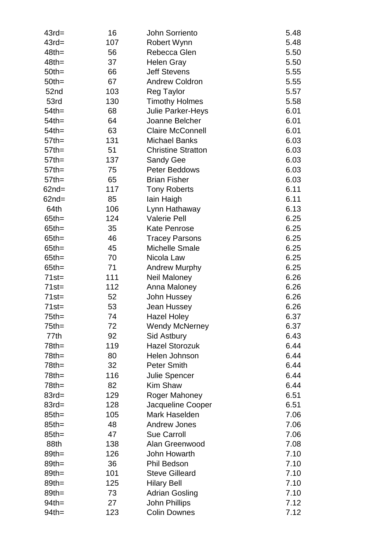| $43rd=$          | 16  | <b>John Sorriento</b>     | 5.48         |
|------------------|-----|---------------------------|--------------|
| $43rd=$          | 107 | Robert Wynn               | 5.48         |
| $48th =$         | 56  | Rebecca Glen              | 5.50         |
| $48th =$         | 37  | <b>Helen Gray</b>         | 5.50         |
| $50th =$         | 66  | <b>Jeff Stevens</b>       | 5.55         |
| $50th =$         | 67  | <b>Andrew Coldron</b>     | 5.55         |
| 52nd             | 103 | <b>Reg Taylor</b>         | 5.57         |
| 53rd             | 130 | <b>Timothy Holmes</b>     | 5.58         |
| $54$ th=         | 68  | <b>Julie Parker-Heys</b>  | 6.01         |
| $54$ th=         | 64  | Joanne Belcher            | 6.01         |
| $54$ th=         | 63  | <b>Claire McConnell</b>   | 6.01         |
| $57$ th=         | 131 | <b>Michael Banks</b>      | 6.03         |
| $57$ th=         | 51  | <b>Christine Stratton</b> | 6.03         |
| $57$ th=         | 137 | <b>Sandy Gee</b>          | 6.03         |
| $57$ th=         | 75  | Peter Beddows             | 6.03         |
| $57$ th=         | 65  | <b>Brian Fisher</b>       | 6.03         |
| $62nd =$         | 117 | <b>Tony Roberts</b>       | 6.11         |
| $62nd =$         | 85  | lain Haigh                | 6.11         |
| 64th             | 106 | Lynn Hathaway             | 6.13         |
| $65$ th=         | 124 | <b>Valerie Pell</b>       | 6.25         |
| $65$ th=         | 35  | <b>Kate Penrose</b>       | 6.25         |
| $65$ th=         | 46  | <b>Tracey Parsons</b>     | 6.25         |
| $65$ th=         | 45  | <b>Michelle Smale</b>     | 6.25         |
| $65$ th=         | 70  | Nicola Law                | 6.25         |
| $65$ th=         | 71  | <b>Andrew Murphy</b>      | 6.25         |
| $71st =$         | 111 | Neil Maloney              | 6.26         |
| $71st =$         | 112 | Anna Maloney              | 6.26         |
| $71st =$         | 52  | John Hussey               | 6.26         |
| $71st =$         | 53  | Jean Hussey               | 6.26         |
| $75$ th=         | 74  | <b>Hazel Holey</b>        | 6.37         |
| $75$ th=         | 72  | <b>Wendy McNerney</b>     | 6.37         |
| 77th             | 92  | Sid Astbury               | 6.43         |
| $78th =$         | 119 | <b>Hazel Storozuk</b>     | 6.44         |
| $78th =$         | 80  | Helen Johnson             | 6.44         |
| $78th =$         | 32  | <b>Peter Smith</b>        | 6.44         |
| $78th =$         | 116 | Julie Spencer             | 6.44         |
| $78th =$         | 82  | <b>Kim Shaw</b>           | 6.44         |
| $83rd=$          | 129 | Roger Mahoney             | 6.51         |
| $83rd=$          | 128 | Jacqueline Cooper         | 6.51         |
| $85th =$         | 105 | Mark Haselden             | 7.06         |
| $85th =$         | 48  | <b>Andrew Jones</b>       | 7.06         |
|                  | 47  | <b>Sue Carroll</b>        |              |
| $85th =$<br>88th |     | Alan Greenwood            | 7.06<br>7.08 |
| $89th =$         | 138 |                           |              |
|                  | 126 | John Howarth              | 7.10         |
| $89th =$         | 36  | Phil Bedson               | 7.10         |
| $89th =$         | 101 | <b>Steve Gilleard</b>     | 7.10         |
| $89th =$         | 125 | <b>Hilary Bell</b>        | 7.10         |
| $89th =$         | 73  | <b>Adrian Gosling</b>     | 7.10         |
| $94th =$         | 27  | <b>John Phillips</b>      | 7.12         |
| $94th =$         | 123 | <b>Colin Downes</b>       | 7.12         |